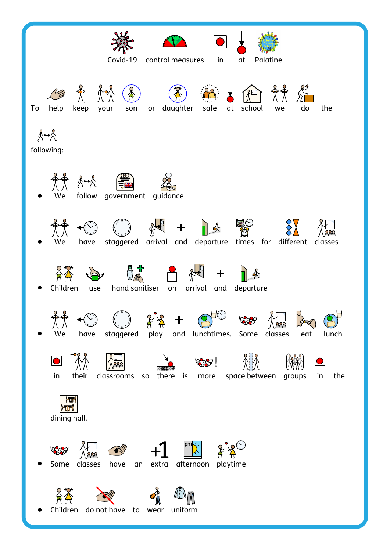







 $\frac{1}{\sqrt{2\pi}} \frac{1}{\sqrt{2\pi}} \frac{1}{\sqrt{2\pi}} \frac{1}{\sqrt{2\pi}} \frac{1}{\sqrt{2\pi}} \frac{1}{\sqrt{2\pi}}$ <br>Some classes have an extra afternoon playtime

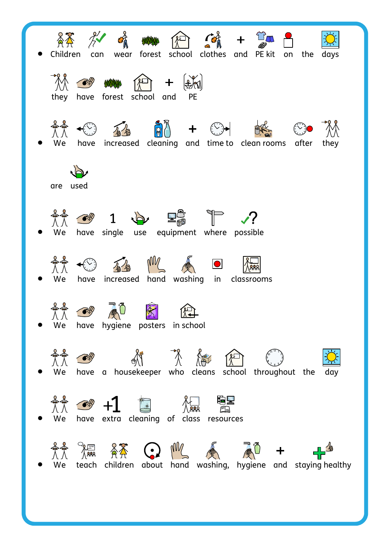